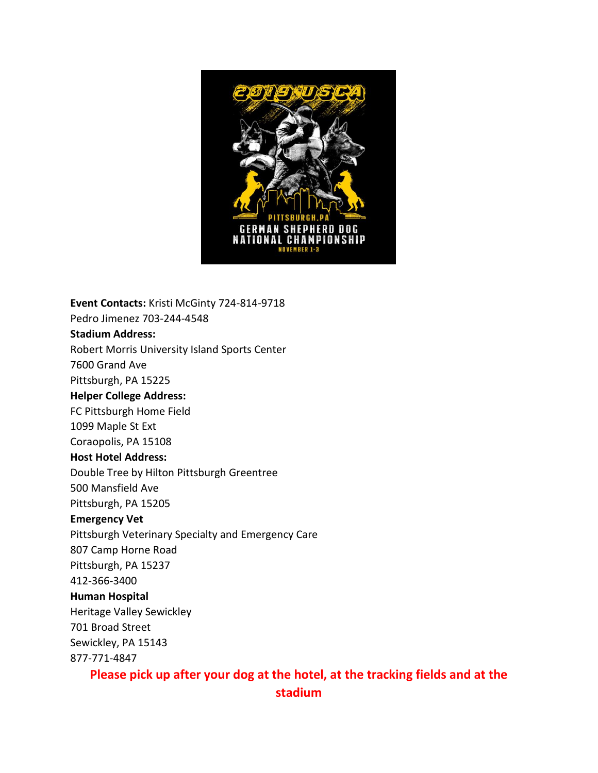

**Event Contacts:** Kristi McGinty 724-814-9718 Pedro Jimenez 703-244-4548 **Stadium Address:** Robert Morris University Island Sports Center 7600 Grand Ave Pittsburgh, PA 15225 **Helper College Address:** FC Pittsburgh Home Field 1099 Maple St Ext Coraopolis, PA 15108 **Host Hotel Address:** Double Tree by Hilton Pittsburgh Greentree 500 Mansfield Ave Pittsburgh, PA 15205 **Emergency Vet** Pittsburgh Veterinary Specialty and Emergency Care 807 Camp Horne Road Pittsburgh, PA 15237 412-366-3400 **Human Hospital** Heritage Valley Sewickley 701 Broad Street Sewickley, PA 15143 877-771-4847

## **Please pick up after your dog at the hotel, at the tracking fields and at the stadium**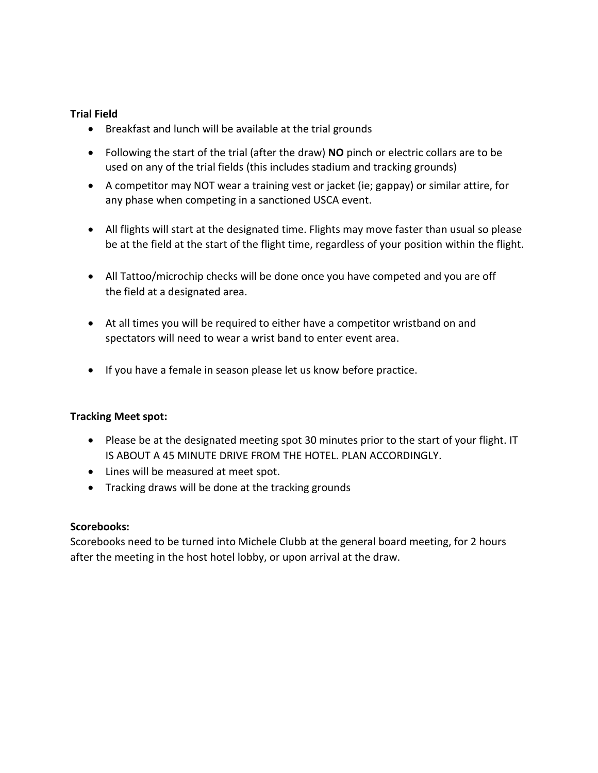## **Trial Field**

- Breakfast and lunch will be available at the trial grounds
- Following the start of the trial (after the draw) **NO** pinch or electric collars are to be used on any of the trial fields (this includes stadium and tracking grounds)
- A competitor may NOT wear a training vest or jacket (ie; gappay) or similar attire, for any phase when competing in a sanctioned USCA event.
- All flights will start at the designated time. Flights may move faster than usual so please be at the field at the start of the flight time, regardless of your position within the flight.
- All Tattoo/microchip checks will be done once you have competed and you are off the field at a designated area.
- At all times you will be required to either have a competitor wristband on and spectators will need to wear a wrist band to enter event area.
- If you have a female in season please let us know before practice.

## **Tracking Meet spot:**

- Please be at the designated meeting spot 30 minutes prior to the start of your flight. IT IS ABOUT A 45 MINUTE DRIVE FROM THE HOTEL. PLAN ACCORDINGLY.
- Lines will be measured at meet spot.
- Tracking draws will be done at the tracking grounds

## **Scorebooks:**

Scorebooks need to be turned into Michele Clubb at the general board meeting, for 2 hours after the meeting in the host hotel lobby, or upon arrival at the draw.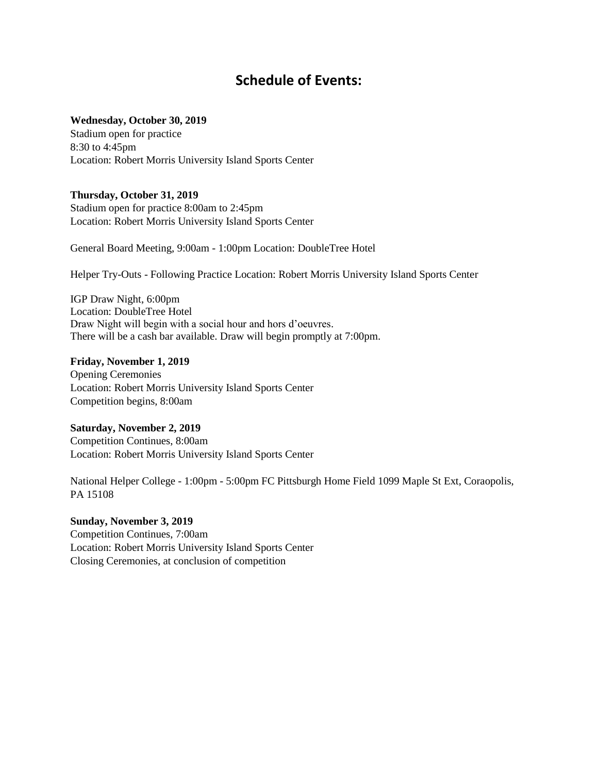# **Schedule of Events:**

#### **Wednesday, October 30, 2019**

Stadium open for practice 8:30 to 4:45pm Location: Robert Morris University Island Sports Center

#### **Thursday, October 31, 2019**

Stadium open for practice 8:00am to 2:45pm Location: Robert Morris University Island Sports Center

General Board Meeting, 9:00am - 1:00pm Location: DoubleTree Hotel

Helper Try-Outs - Following Practice Location: Robert Morris University Island Sports Center

IGP Draw Night, 6:00pm Location: DoubleTree Hotel Draw Night will begin with a social hour and hors d'oeuvres. There will be a cash bar available. Draw will begin promptly at 7:00pm.

#### **Friday, November 1, 2019**

Opening Ceremonies Location: Robert Morris University Island Sports Center Competition begins, 8:00am

#### **Saturday, November 2, 2019**

Competition Continues, 8:00am Location: Robert Morris University Island Sports Center

National Helper College - 1:00pm - 5:00pm FC Pittsburgh Home Field 1099 Maple St Ext, Coraopolis, PA 15108

#### **Sunday, November 3, 2019**

Competition Continues, 7:00am Location: Robert Morris University Island Sports Center Closing Ceremonies, at conclusion of competition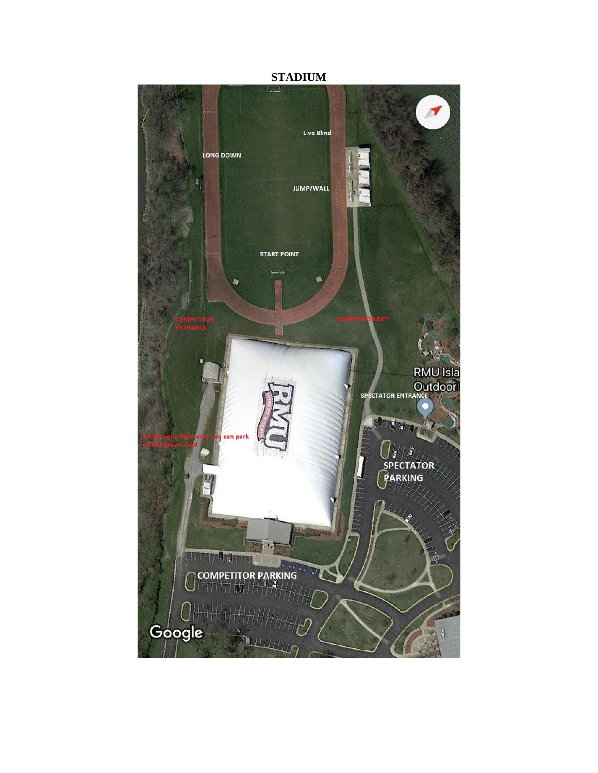**STADIUM**

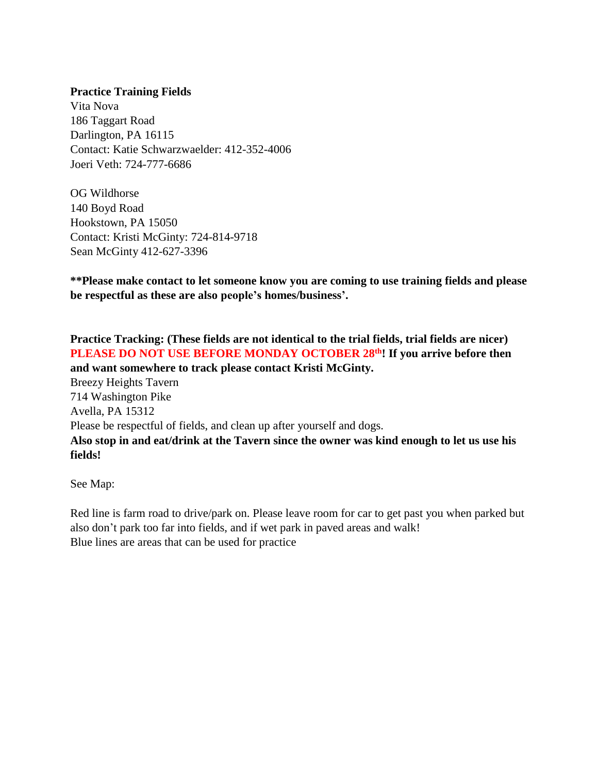## **Practice Training Fields**

Vita Nova 186 Taggart Road Darlington, PA 16115 Contact: Katie Schwarzwaelder: 412-352-4006 Joeri Veth: 724-777-6686

OG Wildhorse 140 Boyd Road Hookstown, PA 15050 Contact: Kristi McGinty: 724-814-9718 Sean McGinty 412-627-3396

**\*\*Please make contact to let someone know you are coming to use training fields and please be respectful as these are also people's homes/business'.** 

**Practice Tracking: (These fields are not identical to the trial fields, trial fields are nicer) PLEASE DO NOT USE BEFORE MONDAY OCTOBER 28th! If you arrive before then and want somewhere to track please contact Kristi McGinty.** Breezy Heights Tavern 714 Washington Pike Avella, PA 15312 Please be respectful of fields, and clean up after yourself and dogs. **Also stop in and eat/drink at the Tavern since the owner was kind enough to let us use his fields!** 

See Map:

Red line is farm road to drive/park on. Please leave room for car to get past you when parked but also don't park too far into fields, and if wet park in paved areas and walk! Blue lines are areas that can be used for practice